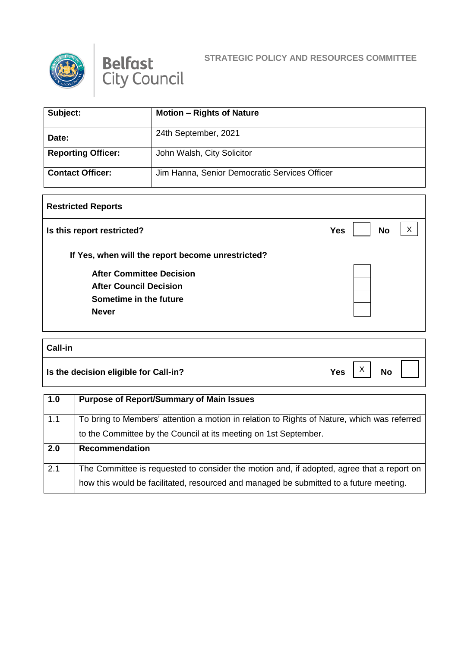



## **STRATEGIC POLICY AND RESOURCES COMMITTEE**

| Subject:                  | <b>Motion – Rights of Nature</b>              |
|---------------------------|-----------------------------------------------|
| Date:                     | 24th September, 2021                          |
| <b>Reporting Officer:</b> | John Walsh, City Solicitor                    |
| <b>Contact Officer:</b>   | Jim Hanna, Senior Democratic Services Officer |

## **Restricted Reports**

| Is this report restricted?                        | <b>No</b><br>Yes |  |
|---------------------------------------------------|------------------|--|
| If Yes, when will the report become unrestricted? |                  |  |
| <b>After Committee Decision</b>                   |                  |  |
| <b>After Council Decision</b>                     |                  |  |
| Sometime in the future                            |                  |  |
| <b>Never</b>                                      |                  |  |

## **Call-in**

**Is the decision eligible for Call-in?** No **Yes**  $\begin{bmatrix} X \\ Y \end{bmatrix}$  No

X

**1.0 Purpose of Report/Summary of Main Issues** 1.1 To bring to Members' attention a motion in relation to Rights of Nature, which was referred to the Committee by the Council at its meeting on 1st September. **2.0 Recommendation** 2.1 The Committee is requested to consider the motion and, if adopted, agree that a report on how this would be facilitated, resourced and managed be submitted to a future meeting.